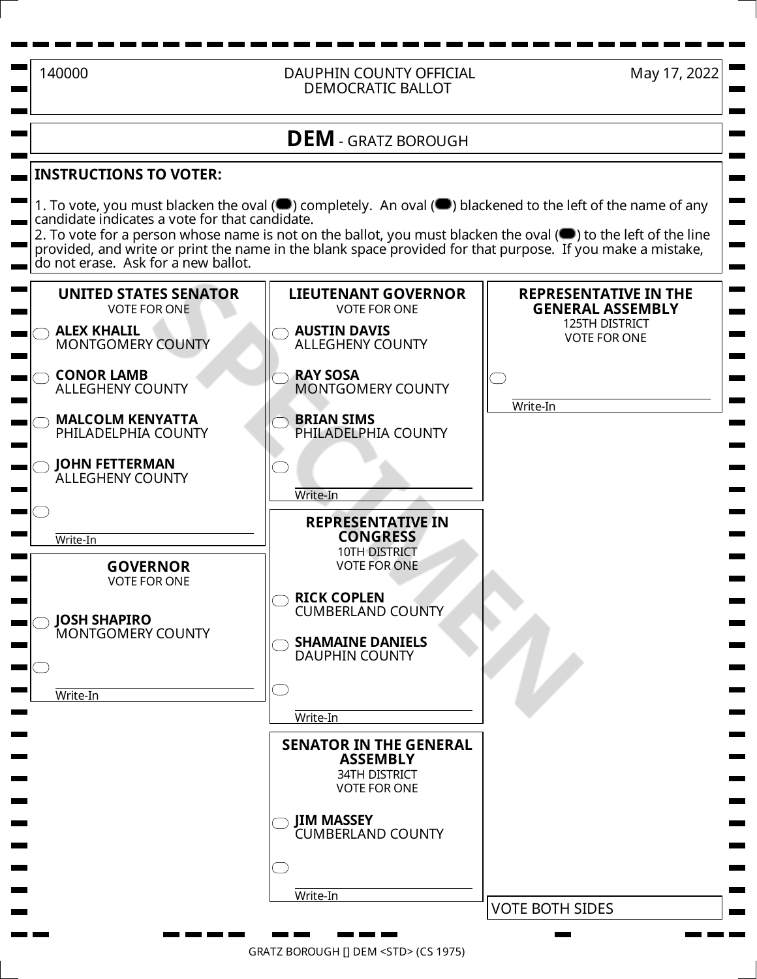## 140000 DAUPHIN COUNTY OFFICIAL DEMOCRATIC BALLOT

May 17, 2022

## **DEM** - GRATZ BOROUGH

## **INSTRUCTIONS TO VOTER:**

1. To vote, you must blacken the oval ( $\blacksquare$ ) completely. An oval ( $\blacksquare$ ) blackened to the left of the name of any candidate indicates a vote for that candidate.

2. To vote for a person whose name is not on the ballot, you must blacken the oval ( $\blacksquare$ ) to the left of the line provided, and write or print the name in the blank space provided for that purpose. If you make a mistake, do not erase. Ask for a new ballot.

| <b>UNITED STATES SENATOR</b><br><b>VOTE FOR ONE</b> | <b>LIEUTENANT GOVERNOR</b><br><b>VOTE FOR ONE</b>                                                  | <b>REPRESENTATIVE IN THE</b><br><b>GENERAL ASSEMBLY</b> |
|-----------------------------------------------------|----------------------------------------------------------------------------------------------------|---------------------------------------------------------|
| <b>ALEX KHALIL</b><br><b>MONTGOMERY COUNTY</b>      | <b>AUSTIN DAVIS</b><br><b>ALLEGHENY COUNTY</b>                                                     | 125TH DISTRICT<br><b>VOTE FOR ONE</b>                   |
| <b>CONOR LAMB</b><br><b>ALLEGHENY COUNTY</b>        | <b>RAY SOSA</b><br><b>MONTGOMERY COUNTY</b>                                                        |                                                         |
| <b>MALCOLM KENYATTA</b><br>PHILADELPHIA COUNTY      | <b>BRIAN SIMS</b><br>PHILADELPHIA COUNTY                                                           | Write-In                                                |
| <b>JOHN FETTERMAN</b><br>ALLEGHENY COUNTY           |                                                                                                    |                                                         |
|                                                     | Write-In                                                                                           |                                                         |
| Write-In                                            | <b>REPRESENTATIVE IN</b><br><b>CONGRESS</b><br>10TH DISTRICT                                       |                                                         |
| <b>GOVERNOR</b><br><b>VOTE FOR ONE</b>              | <b>VOTE FOR ONE</b>                                                                                |                                                         |
| <b>JOSH SHAPIRO</b><br>MONTGOMERY COUNTY            | <b>RICK COPLEN</b><br><b>CUMBERLAND COUNTY</b><br><b>SHAMAINE DANIELS</b><br><b>DAUPHIN COUNTY</b> |                                                         |
| Write-In                                            |                                                                                                    |                                                         |
|                                                     | Write-In                                                                                           |                                                         |
|                                                     | <b>SENATOR IN THE GENERAL</b><br><b>ASSEMBLY</b><br><b>34TH DISTRICT</b><br><b>VOTE FOR ONE</b>    |                                                         |
|                                                     | <b>JIM MASSEY</b><br><b>CUMBERLAND COUNTY</b>                                                      |                                                         |
|                                                     |                                                                                                    |                                                         |
|                                                     | Write-In                                                                                           | <b>VOTE BOTH SIDES</b>                                  |